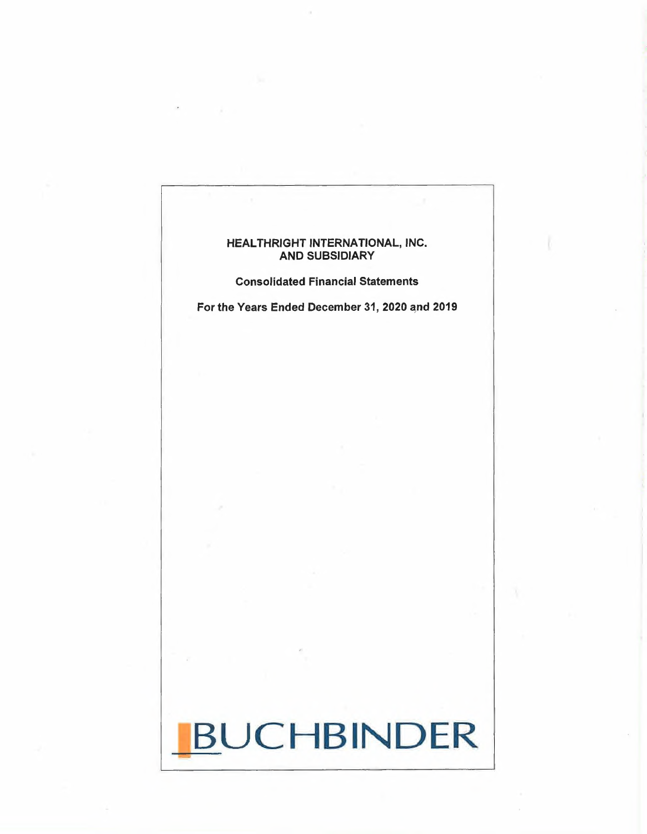# HEALTHRIGHT INTERNATIONAL, INC. AND SUBSIDIARY

Consolidated Financial Statements

For the Years Ended December 31, 2020 and 2019

# BUCHBINDER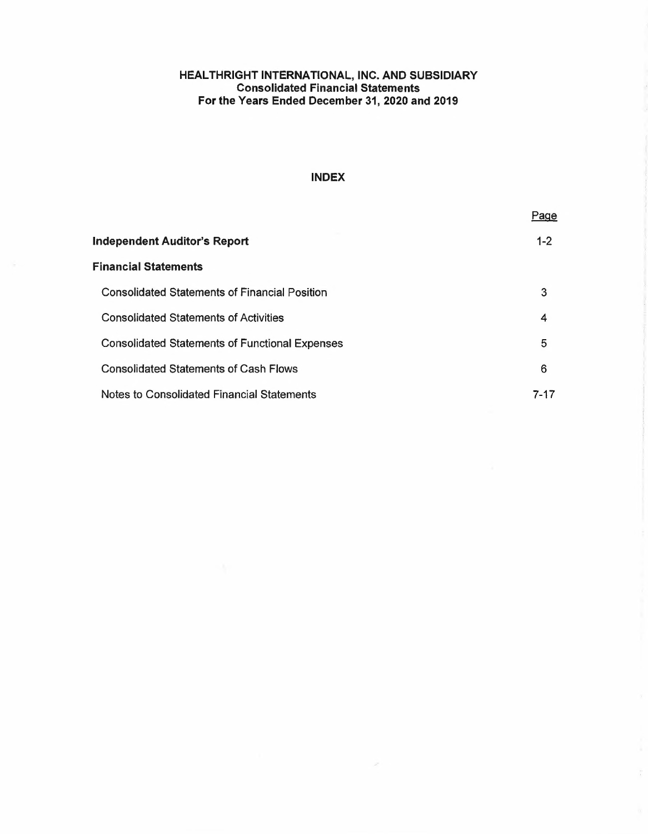#### **HEALTH RIGHT INTERNATIONAL, INC. AND SUBSIDIARY Consolidated Financial Statements For the Years Ended December 31, 2020 and 2019**

# **INDEX**

|                                                       | Page    |
|-------------------------------------------------------|---------|
| Independent Auditor's Report                          | $1 - 2$ |
| Financial Statements                                  |         |
| <b>Consolidated Statements of Financial Position</b>  | 3       |
| <b>Consolidated Statements of Activities</b>          | 4       |
| <b>Consolidated Statements of Functional Expenses</b> | 5       |
| <b>Consolidated Statements of Cash Flows</b>          | 6       |
| <b>Notes to Consolidated Financial Statements</b>     | 7-17    |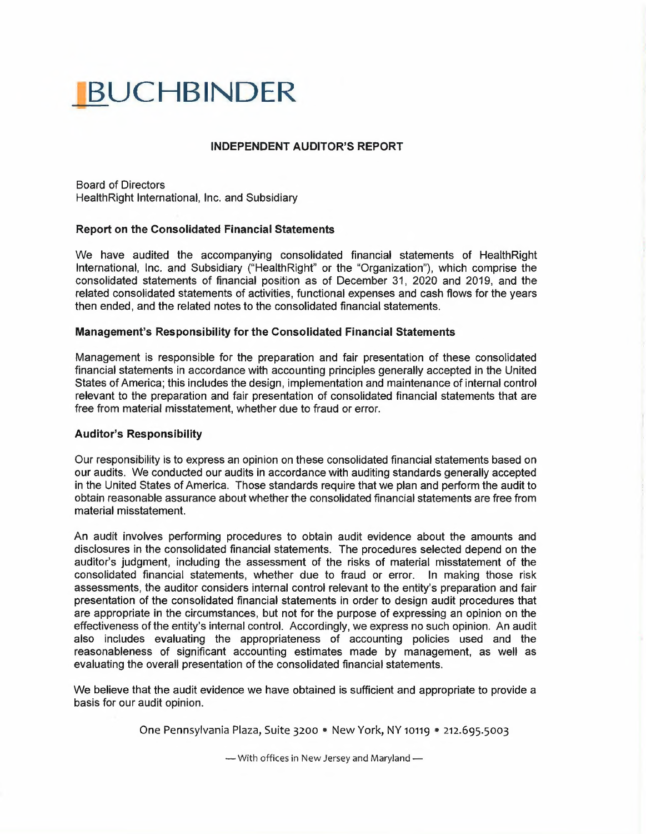# **BUCHBINDER**

# **INDEPENDENT AUDITOR'S REPORT**

Board of Directors HealthRight International, Inc. and Subsidiary

# **Report on the Consolidated Financial Statements**

We have audited the accompanying consolidated financial statements of HealthRight International, Inc. and Subsidiary ("HealthRight" or the "Organization"), which comprise the consolidated statements of financial position as of December 31, 2020 and 2019, and the related consolidated statements of activities, functional expenses and cash flows for the years then ended, and the related notes to the consolidated financial statements.

#### **Management's Responsibility for the Consolidated Financial Statements**

Management is responsible for the preparation and fair presentation of these consolidated financial statements in accordance with accounting principles generally accepted in the United States of America; this includes the design, implementation and maintenance of internal control relevant to the preparation and fair presentation of consolidated financial statements that are free from material misstatement, whether due to fraud or error.

#### **Auditor's Responsibility**

Our responsibility is to express an opinion on these consolidated financial statements based on our audits. We conducted our audits in accordance with auditing standards generally accepted in the United States of America. Those standards require that we plan and perform the audit to obtain reasonable assurance about whether the consolidated financial statements are free from material misstatement.

An audit involves performing procedures to obtain audit evidence about the amounts and disclosures in the consolidated financial statements. The procedures selected depend on the auditor's judgment, including the assessment of the risks of material misstatement of the consolidated financial statements, whether due to fraud or error. In making those risk assessments, the auditor considers internal control relevant to the entity's preparation and fair presentation of the consolidated financial statements in order to design audit procedures that are appropriate in the circumstances, but not for the purpose of expressing an opinion on the effectiveness ofthe entity's internal control. Accordingly, we express no such opinion. An audit also includes evaluating the appropriateness of accounting policies used and the reasonableness of significant accounting estimates made by management, as well as evaluating the overall presentation of the consolidated financial statements.

We believe that the audit evidence we have obtained is sufficient and appropriate to provide <sup>a</sup> basis for our audit opinion.

One Pennsylvania Plaza, Suite 3200 • New York, NY 10119 • 212.695.5003

 $-$  With offices in New Jersey and Maryland  $-$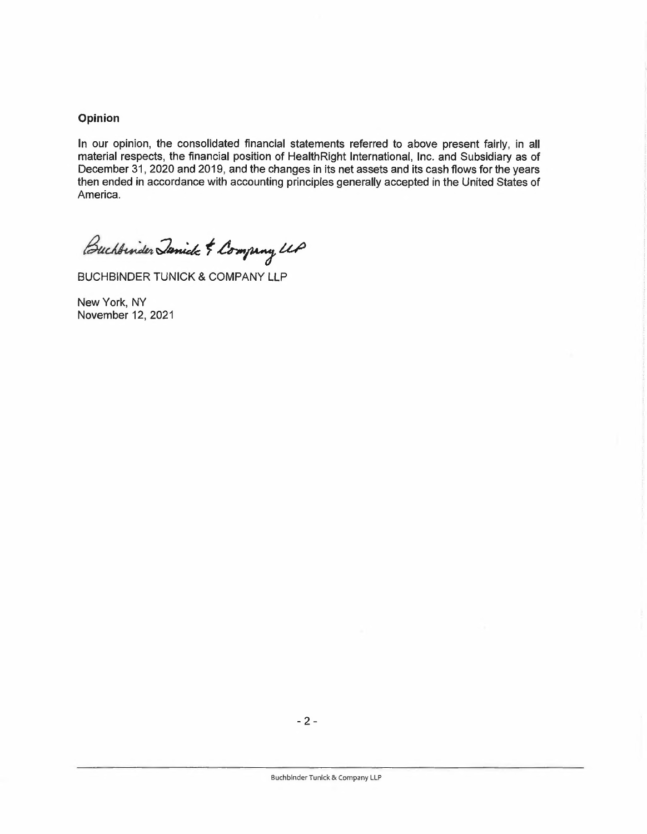# **Opinion**

In our opinion, the consolidated financial statements referred to above present fairly, in all material respects, the financial position of HealthRight International, Inc. and Subsidiary as of December 31, 2020 and 2019, and the changes in its net assets and its cash flows for the years then ended in accordance with accounting principles generally accepted in the United States of America.

Buchbinder Janick & Company UP

BUCHBINDER TUNICK & COMPANY LLP

New York, NY November 12, 2021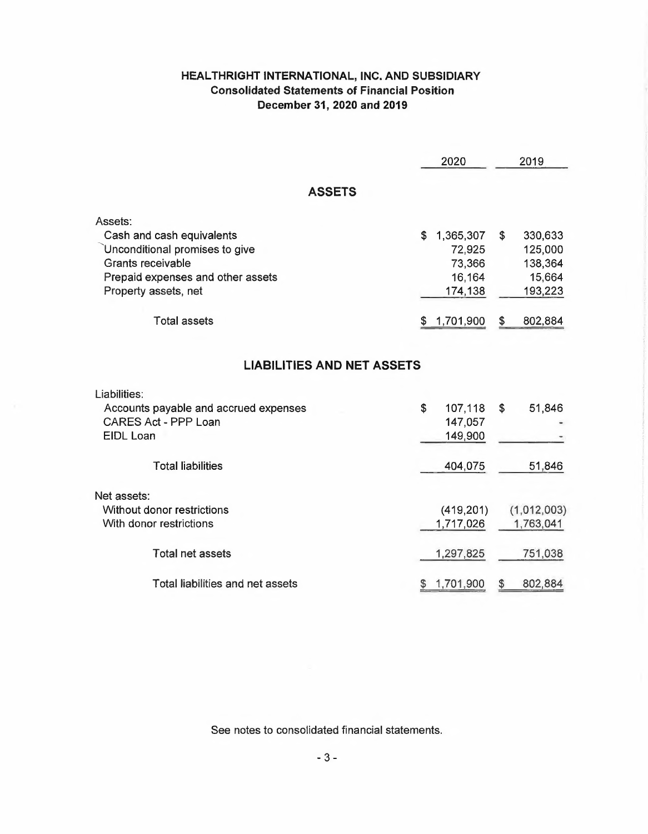# **HEALTHRIGHT INTERNATIONAL, INC. AND SUBSIDIARY Consolidated Statements of Financial Position December 31, 2020 and 2019**

|                                                                                                                                                          | 2020                                                     | 2019                                                     |
|----------------------------------------------------------------------------------------------------------------------------------------------------------|----------------------------------------------------------|----------------------------------------------------------|
| <b>ASSETS</b>                                                                                                                                            |                                                          |                                                          |
| Assets:<br>Cash and cash equivalents<br>Unconditional promises to give<br>Grants receivable<br>Prepaid expenses and other assets<br>Property assets, net | \$<br>1,365,307<br>72,925<br>73,366<br>16,164<br>174,138 | \$<br>330,633<br>125,000<br>138,364<br>15,664<br>193,223 |
| <b>Total assets</b>                                                                                                                                      | 1,701,900<br>\$                                          | 802,884<br>\$                                            |
| <b>LIABILITIES AND NET ASSETS</b><br>Liabilities:<br>Accounts payable and accrued expenses<br>CARES Act - PPP Loan<br><b>EIDL Loan</b>                   | \$<br>107,118<br>147,057<br>149,900                      | \$<br>51,846                                             |
| <b>Total liabilities</b>                                                                                                                                 | 404,075                                                  | 51,846                                                   |
| Net assets:<br>Without donor restrictions<br>With donor restrictions                                                                                     | (419, 201)<br>1,717,026                                  | (1,012,003)<br>1,763,041                                 |
| <b>Total net assets</b>                                                                                                                                  | 1,297,825                                                | 751,038                                                  |
| Total liabilities and net assets                                                                                                                         | 1,701,900                                                | 802,884<br>$\boldsymbol{\theta}$                         |

See notes to consolidated financial statements.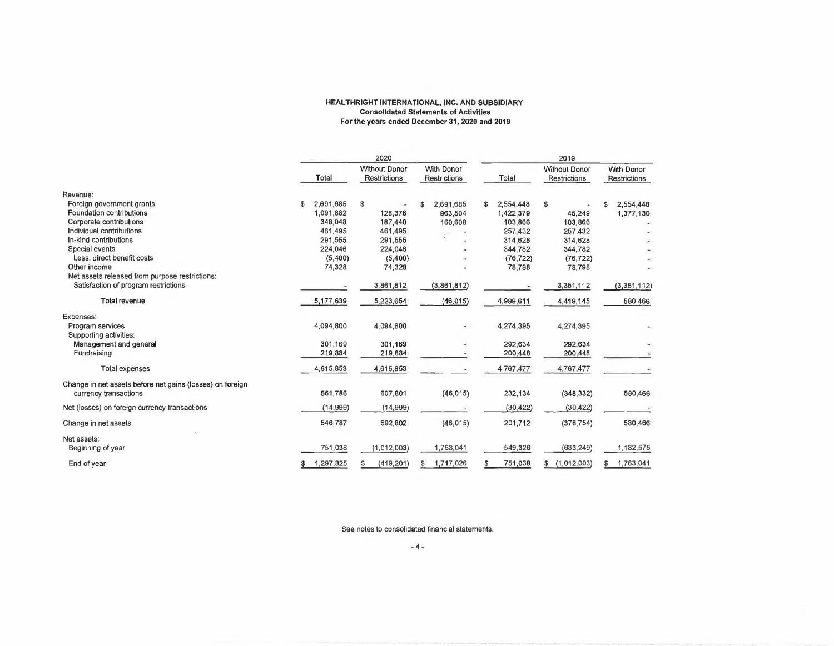#### **HEALTHRIGHT INTERNATIONAL, INC. AND SUBSIDIARY Consolidated Statements of Activities For the years ended December 31, 2020 and 2019**

|                                                           | 2020            |                                             |                                          | 2019            |                                      |                                   |
|-----------------------------------------------------------|-----------------|---------------------------------------------|------------------------------------------|-----------------|--------------------------------------|-----------------------------------|
|                                                           | Total           | <b>Without Donor</b><br><b>Restrictions</b> | <b>With Donor</b><br><b>Restrictions</b> | Total           | <b>Without Donor</b><br>Restrictions | <b>With Donor</b><br>Restrictions |
| Revenue:                                                  |                 |                                             |                                          |                 |                                      |                                   |
| Foreign government grants                                 | 2,691,685<br>\$ | \$                                          | 2,691,685<br>\$                          | 2,554,448<br>\$ | \$                                   | 2,554,448<br>\$                   |
| Foundation contributions                                  | 1,091,882       | 128,378                                     | 963,504                                  | 1,422,379       | 45,249                               | 1,377,130                         |
| Corporate contributions                                   | 348,048         | 187,440                                     | 160,608                                  | 103,866         | 103,866                              |                                   |
| Individual contributions                                  | 461.495         | 461,495                                     |                                          | 257,432         | 257,432                              |                                   |
| In-kind contributions                                     | 291.555         | 291,555                                     |                                          | 314,628         | 314,628                              |                                   |
| Special events                                            | 224,046         | 224,046                                     |                                          | 344,782         | 344,782                              |                                   |
| Less: direct benefit costs                                | (5,400)         | (5,400)                                     |                                          | (76, 722)       | (76, 722)                            |                                   |
| Other income                                              | 74,328          | 74,328                                      |                                          | 78,798          | 78,798                               |                                   |
| Net assets released from purpose restrictions:            |                 |                                             |                                          |                 |                                      |                                   |
| Satisfaction of program restrictions                      |                 | 3,861,812                                   | (3,861,812)                              |                 | 3,351,112                            | (3, 351, 112)                     |
| Total revenue                                             | 5,177,639       | 5,223,654                                   | (46, 015)                                | 4,999,611       | 4,419,145                            | 580,466                           |
| Expenses:                                                 |                 |                                             |                                          |                 |                                      |                                   |
| Program services<br>Supporting activities:                | 4,094,800       | 4,094,800                                   |                                          | 4,274,395       | 4.274.395                            |                                   |
| Management and general                                    | 301.169         | 301,169                                     |                                          | 292,634         | 292,634                              |                                   |
| Fundraising                                               | 219,884         | 219,884                                     |                                          | 200,448         | 200,448                              |                                   |
| Total expenses                                            | 4,615,853       | 4,615,853                                   |                                          | 4,767,477       | 4,767,477                            |                                   |
| Change in net assets before net gains (losses) on foreign |                 |                                             |                                          |                 |                                      |                                   |
| currency transactions                                     | 561,786         | 607,801                                     | (46, 015)                                | 232,134         | (348, 332)                           | 580,466                           |
| Net (losses) on foreign currency transactions             | (14,999)        | (14, 999)                                   |                                          | (30, 422)       | (30, 422)                            |                                   |
| Change in net assets                                      | 546,787         | 592,802                                     | (46, 015)                                | 201,712         | (378, 754)                           | 580,466                           |
| Net assets:<br>Beginning of year                          | 751,038         | (1,012,003)                                 | 1,763,041                                | 549,326         | (633, 249)                           | 1,182,575                         |
| End of year                                               | 1,297,825       | (419, 201)                                  | 1,717,026<br>S                           | 751,038         | (1,012,003)<br>\$                    | 1,763,041<br>S                    |

See notes to consolidated financial statements.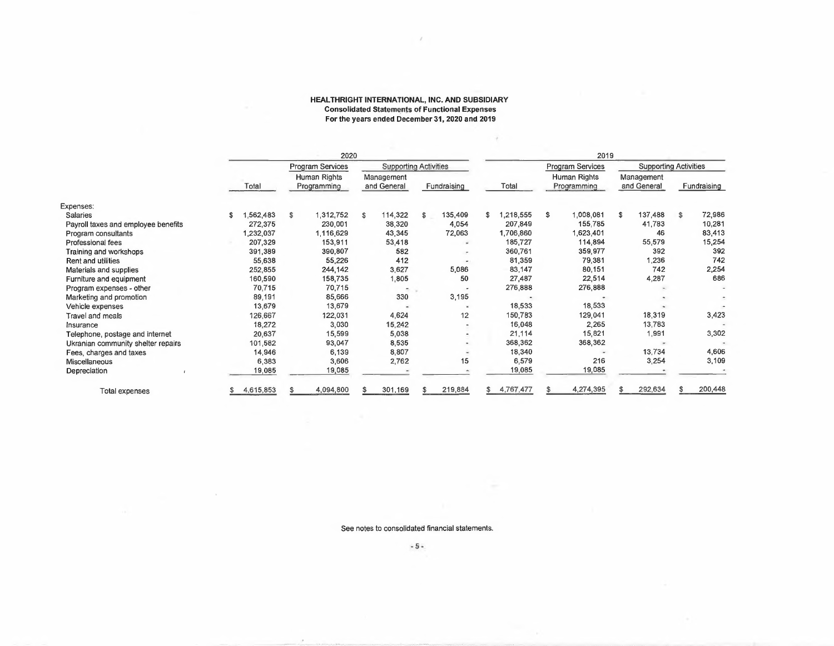#### **HEALTHRIGHT INTERNATIONAL, INC. AND SUBSIDIARY Consolidated Statements of Functional Expenses For the years ended December 31, 2020 and 2019**

**r**

|                                     |                | 2020                        |                           |                              |                | 2019                        |                           |                              |
|-------------------------------------|----------------|-----------------------------|---------------------------|------------------------------|----------------|-----------------------------|---------------------------|------------------------------|
|                                     |                | <b>Program Services</b>     |                           | <b>Supporting Activities</b> |                | <b>Program Services</b>     |                           | <b>Supporting Activities</b> |
|                                     | Total          | Human Rights<br>Programming | Management<br>and General | Fundraising                  | Total          | Human Rights<br>Programming | Management<br>and General | Fundraising                  |
| Expenses:                           |                |                             |                           |                              |                |                             |                           |                              |
| <b>Salaries</b>                     | 562,483<br>\$. | 1,312,752<br>\$             | 114,322<br>\$             | 135,409<br>\$                | ,218,555<br>\$ | \$<br>1,008,081             | 137,488<br>s              | 72,986<br>S.                 |
| Payroll taxes and employee benefits | 272,375        | 230,001                     | 38,320                    | 4,054                        | 207,849        | 155,785                     | 41,783                    | 10,281                       |
| Program consultants                 | 1,232,037      | 1,116,629                   | 43,345                    | 72,063                       | 1,706,860      | 1,623,401                   | 46                        | 83,413                       |
| <b>Professional fees</b>            | 207,329        | 153,911                     | 53,418                    |                              | 185,727        | 114,894                     | 55,579                    | 15,254                       |
| Training and workshops              | 391,389        | 390,807                     | 582                       |                              | 360,761        | 359,977                     | 392                       | 392                          |
| Rent and utilities                  | 55,638         | 55,226                      | 412                       |                              | 81,359         | 79,381                      | 1,236                     | 742                          |
| Materials and supplies              | 252,855        | 244,142                     | 3,627                     | 5,086                        | 83,147         | 80,151                      | 742                       | 2,254                        |
| Furniture and equipment             | 160,590        | 158,735                     | 1,805                     | 50                           | 27,487         | 22,514                      | 4,287                     | 686                          |
| Program expenses - other            | 70,715         | 70,715                      | $\tilde{\phantom{a}}$     |                              | 276,888        | 276,888                     |                           |                              |
| Marketing and promotion             | 89,191         | 85,666                      | 330                       | 3,195                        |                |                             |                           |                              |
| Vehicle expenses                    | 13,679         | 13,679                      |                           |                              | 18,533         | 18,533                      |                           |                              |
| Travel and meals                    | 126,667        | 122,031                     | 4,624                     | 12                           | 150,783        | 129,041                     | 18,319                    | 3,423                        |
| Insurance                           | 18,272         | 3,030                       | 15,242                    |                              | 16,048         | 2,265                       | 13,783                    |                              |
| Telephone, postage and internet     | 20,637         | 15,599                      | 5,038                     |                              | 21,114         | 15,821                      | 1,991                     | 3,302                        |
| Ukranian community shelter repairs  | 101,582        | 93,047                      | 8,535                     |                              | 368,362        | 368,362                     |                           |                              |
| Fees, charges and taxes             | 14,946         | 6,139                       | 8,807                     |                              | 18,340         | <b>Sec</b>                  | 13,734                    | 4,606                        |
| Miscellaneous                       | 6,383          | 3,606                       | 2,762                     | 15                           | 6,579          | 216                         | 3,254                     | 3,109                        |
| Depreciation                        | 19,085         | 19,085                      |                           |                              | 19,085         | 19,085                      |                           |                              |
| Total expenses                      | 4,615,853      | 4,094,800                   | 301,169                   | 219,884                      | 4,767,477      | 4,274,395                   | 292,634                   | 200,448                      |

See notes to consolidated financial statements.

**-5-**

 $\bar{z}$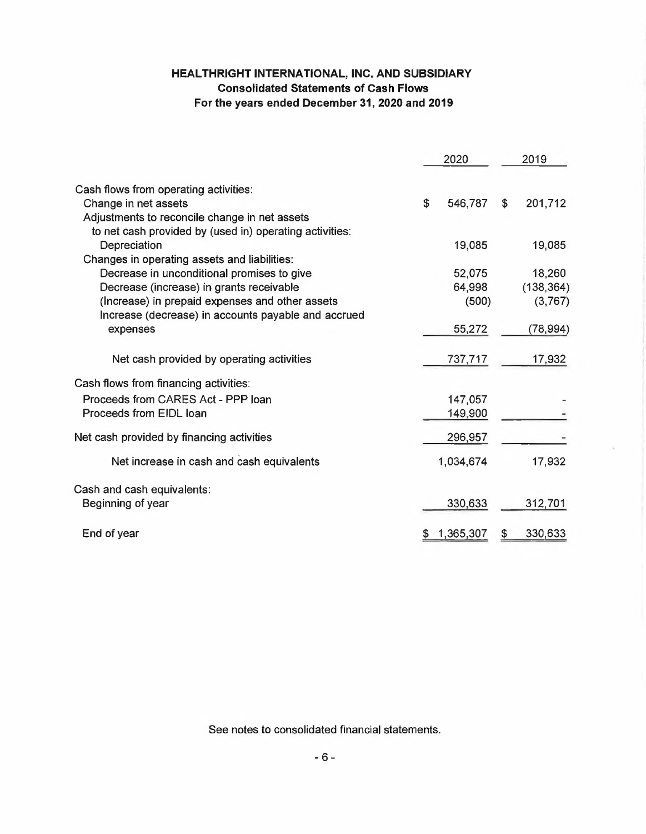# **HEALTHRIGHT INTERNATIONAL, INC. AND SUBSIDIARY Consolidated Statements of Cash Flows For the years ended December 31, 2020 and 2019**

|                                                         | 2020            |     | 2019       |
|---------------------------------------------------------|-----------------|-----|------------|
| Cash flows from operating activities:                   |                 |     |            |
| Change in net assets                                    | \$<br>546,787   | \$  | 201,712    |
| Adjustments to reconcile change in net assets           |                 |     |            |
| to net cash provided by (used in) operating activities: |                 |     |            |
| Depreciation                                            | 19,085          |     | 19,085     |
| Changes in operating assets and liabilities:            |                 |     |            |
| Decrease in unconditional promises to give              | 52,075          |     | 18,260     |
| Decrease (increase) in grants receivable                | 64,998          |     | (138, 364) |
| (Increase) in prepaid expenses and other assets         | (500)           |     | (3, 767)   |
| Increase (decrease) in accounts payable and accrued     |                 |     |            |
| expenses                                                | 55,272          |     | (78, 994)  |
| Net cash provided by operating activities               | 737,717         |     | 17,932     |
| Cash flows from financing activities:                   |                 |     |            |
| Proceeds from CARES Act - PPP loan                      | 147,057         |     |            |
| Proceeds from EIDL loan                                 | 149,900         |     |            |
| Net cash provided by financing activities               | 296,957         |     |            |
| Net increase in cash and cash equivalents               | 1,034,674       |     | 17,932     |
| Cash and cash equivalents:                              |                 |     |            |
| Beginning of year                                       | 330,633         |     | 312,701    |
|                                                         |                 | \$. | 330,633    |
| End of year                                             | \$<br>1,365,307 |     |            |

See notes to consolidated financial statements.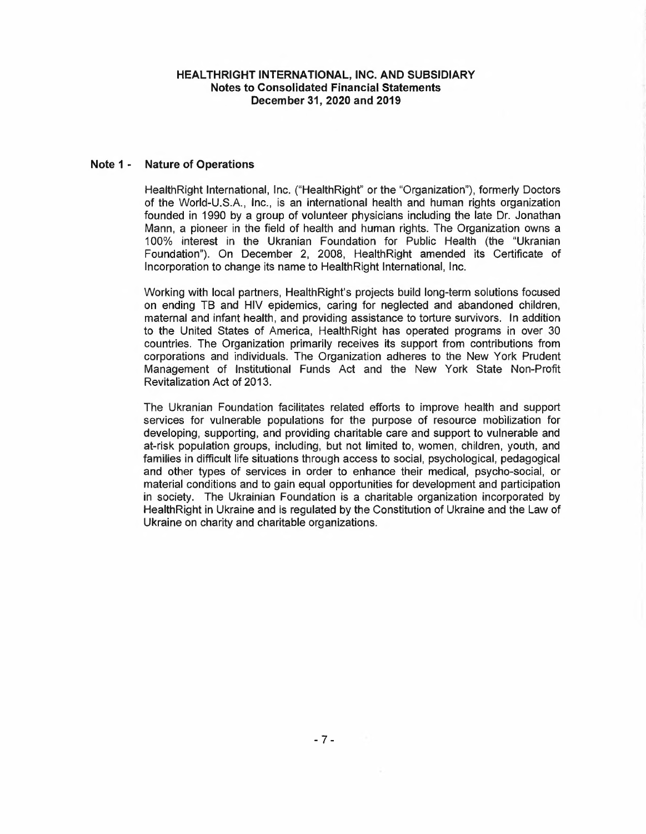#### **Note <sup>1</sup> - Nature of Operations**

HealthRight International, Inc. ("HealthRight" or the "Organization"), formerly Doctors of the World-U.S.A., Inc., is an international health and human rights organization founded in 1990 by <sup>a</sup> group of volunteer physicians including the late Dr. Jonathan Mann, <sup>a</sup> pioneer in the field of health and human rights. The Organization owns <sup>a</sup> 100% interest in the Ukranian Foundation for Public Health (the "Ukranian Foundation"). On December 2, 2008, HealthRight amended its Certificate of Incorporation to change its name to HealthRight International, Inc.

Working with local partners, HealthRight's projects build long-term solutions focused on ending TB and HIV epidemics, caring for neglected and abandoned children, maternal and infant health, and providing assistance to torture survivors. In addition to the United States of America, HealthRight has operated programs in over 30 countries. The Organization primarily receives its support from contributions from corporations and individuals. The Organization adheres to the New York Prudent Management of Institutional Funds Act and the New York State Non-Profit Revitalization Act of 2013.

The Ukranian Foundation facilitates related efforts to improve health and support services for vulnerable populations for the purpose of resource mobilization for developing, supporting, and providing charitable care and support to vulnerable and at-risk population groups, including, but not limited to, women, children, youth, and families in difficult life situations through access to social, psychological, pedagogical and other types of services in order to enhance their medical, psycho-social, or material conditions and to gain equal opportunities for development and participation in society. The Ukrainian Foundation is a charitable organization incorporated by HealthRight in Ukraine and is regulated by the Constitution of Ukraine and the Law of Ukraine on charity and charitable organizations.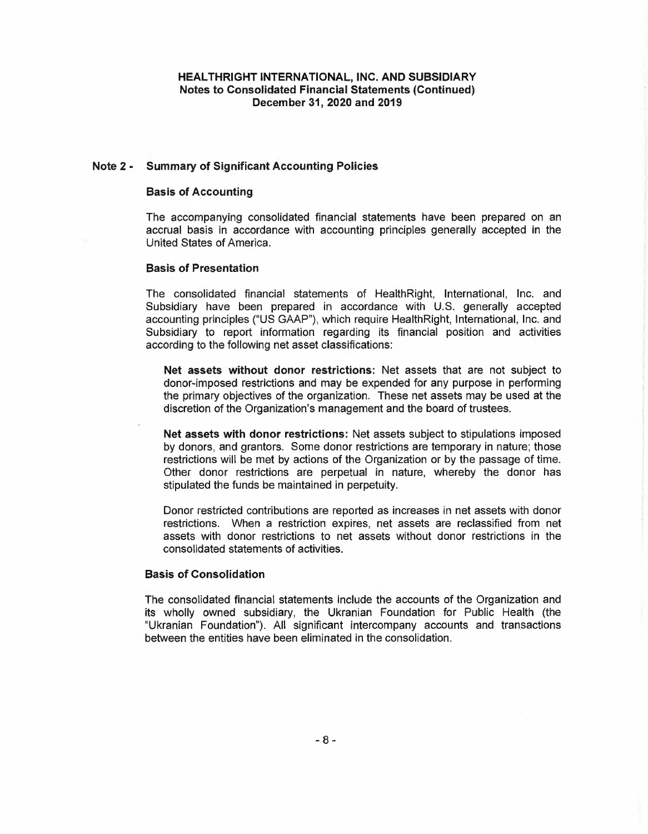#### **Note 2- Summary of Significant Accounting Policies**

#### **Basis of Accounting**

The accompanying consolidated financial statements have been prepared on an accrual basis in accordance with accounting principles generally accepted in the United States of America.

#### **Basis of Presentation**

The consolidated financial statements of HealthRight, International, Inc. and Subsidiary have been prepared in accordance with U.S. generally accepted accounting principles ("US GAAP"), which require HealthRight, International, Inc. and Subsidiary to report information regarding its financial position and activities according to the following net asset classifications:

**Net assets without donor restrictions:** Net assets that are not subject to donor-imposed restrictions and may be expended for any purpose in performing the primary objectives of the organization. These net assets may be used at the discretion of the Organization's management and the board of trustees.

**Net assets with donor restrictions:** Net assets subject to stipulations imposed by donors, and grantors. Some donor restrictions are temporary in nature; those restrictions will be met by actions of the Organization or by the passage of time. Other donor restrictions are perpetual in nature, whereby the donor has stipulated the funds be maintained in perpetuity.

Donor restricted contributions are reported as increases in net assets with donor restrictions. When <sup>a</sup> restriction expires, net assets are reclassified from net assets with donor restrictions to net assets without donor restrictions in the consolidated statements of activities.

#### **Basis of Consolidation**

The consolidated financial statements include the accounts of the Organization and its wholly owned subsidiary, the Ukranian Foundation for Public Health (the "Ukranian Foundation"). All significant intercompany accounts and transactions between the entities have been eliminated in the consolidation.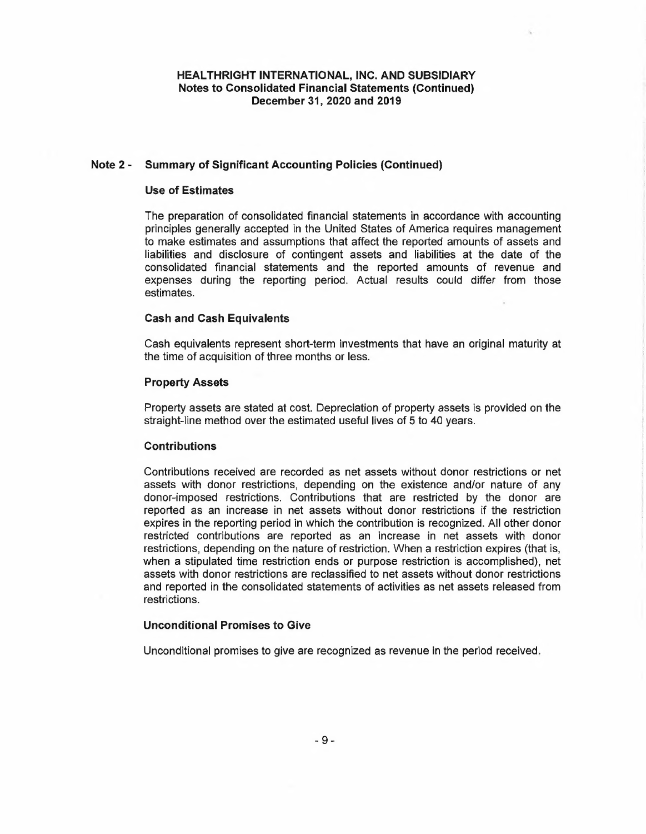#### **Note 2 - Summary of Significant Accounting Policies (Continued)**

#### **Use of Estimates**

The preparation of consolidated financial statements in accordance with accounting principles generally accepted in the United States of America requires management to make estimates and assumptions that affect the reported amounts of assets and liabilities and disclosure of contingent assets and liabilities at the date of the consolidated financial statements and the reported amounts of revenue and expenses during the reporting period. Actual results could differ from those estimates.

#### **Cash and Cash Equivalents**

Cash equivalents represent short-term investments that have an original maturity at the time of acquisition of three months or less.

#### **Property Assets**

Property assets are stated at cost. Depreciation of property assets is provided on the straight-line method over the estimated useful lives of <sup>5</sup> to 40 years.

#### **Contributions**

Contributions received are recorded as net assets without donor restrictions or net assets with donor restrictions, depending on the existence and/or nature of any donor-imposed restrictions. Contributions that are restricted by the donor are reported as an increase in net assets without donor restrictions if the restriction expires in the reporting period in which the contribution is recognized. All other donor restricted contributions are reported as an increase in net assets with donor restrictions, depending on the nature of restriction. When <sup>a</sup> restriction expires (that is, when <sup>a</sup> stipulated time restriction ends or purpose restriction is accomplished), net assets with donor restrictions are reclassified to net assets without donor restrictions and reported in the consolidated statements of activities as net assets released from restrictions.

## **Unconditional Promises to Give**

Unconditional promises to give are recognized as revenue in the period received.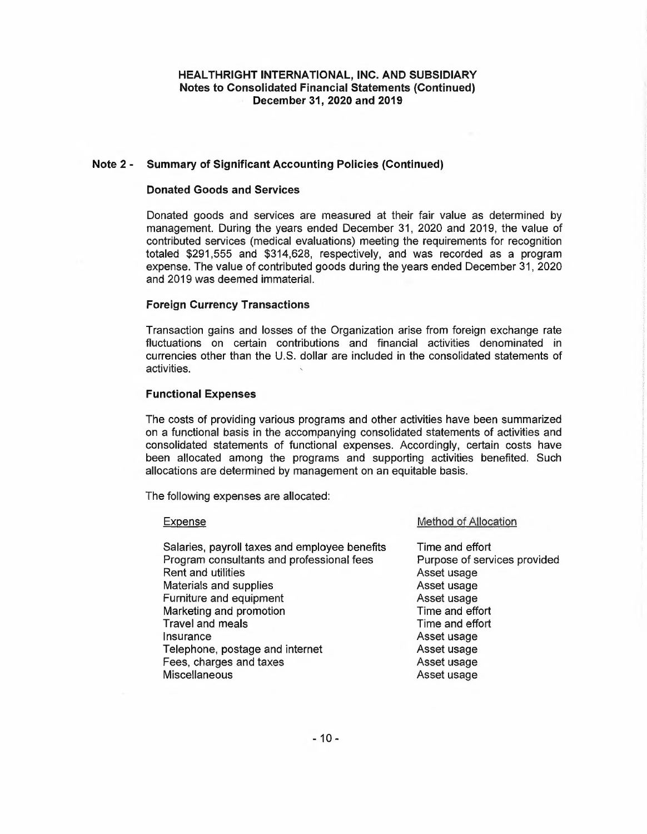#### **Note 2- Summary of Significant Accounting Policies (Continued)**

#### **Donated Goods and Services**

Donated goods and services are measured at their fair value as determined by management. During the years ended December 31, 2020 and 2019, the value of contributed services (medical evaluations) meeting the requirements for recognition totaled \$291,555 and \$314,628, respectively, and was recorded as <sup>a</sup> program expense. The value of contributed goods during the years ended December 31, 2020 and 2019 was deemed immaterial.

#### **Foreign Currency Transactions**

Transaction gains and losses of the Organization arise from foreign exchange rate fluctuations on certain contributions and financial activities denominated in currencies other than the U.S. dollar are included in the consolidated statements of activities.

#### **Functional Expenses**

The costs of providing various programs and other activities have been summarized on <sup>a</sup> functional basis in the accompanying consolidated statements of activities and consolidated statements of functional expenses. Accordingly, certain costs have been allocated among the programs and supporting activities benefited. Such allocations are determined by management on an equitable basis.

The following expenses are allocated:

#### Expense

Salaries, payroll taxes and employee benefits Program consultants and professional fees Rent and utilities Materials and supplies Furniture and equipment Marketing and promotion Travel and meals **Insurance** Telephone, postage and internet Fees, charges and taxes **Miscellaneous** 

#### Method of Allocation

Time and effort Purpose of services provided Asset usage Asset usage Asset usage Time and effort Time and effort Asset usage Asset usage Asset usage Asset usage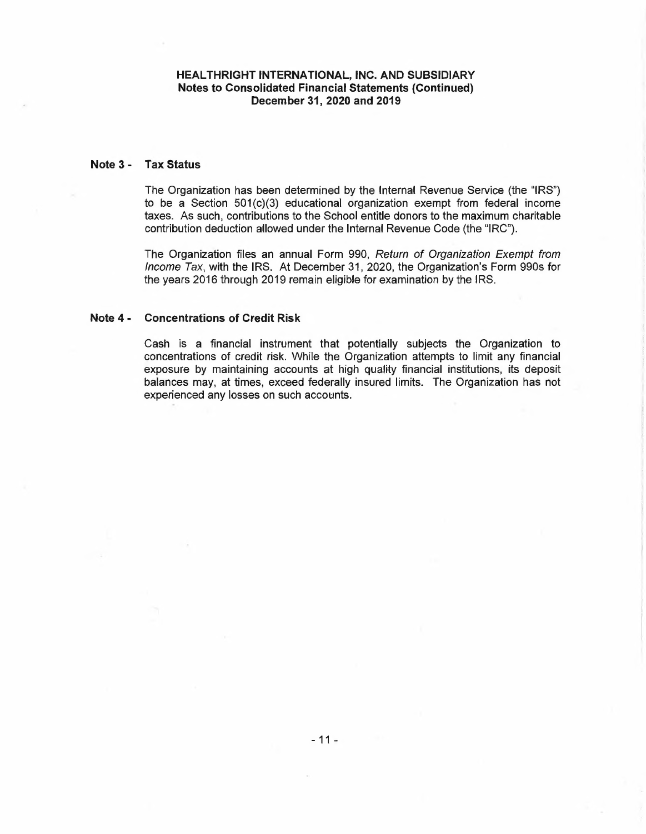#### **Note 3 - Tax Status**

The Organization has been determined by the Internal Revenue Service (the "IRS") to be a Section  $501(c)(3)$  educational organization exempt from federal income taxes. As such, contributions to the School entitle donors to the maximum charitable contribution deduction allowed under the Internal Revenue Code (the "IRC").

The Organization files an annual Form 990, *Return of Organization Exempt from Income Tax,* with the IRS. At December 31, 2020, the Organization's Form 990s for the years 2016 through 2019 remain eligible for examination by the IRS.

#### **Note 4 - Concentrations of Credit Risk**

Cash is <sup>a</sup> financial instrument that potentially subjects the Organization to concentrations of credit risk. While the Organization attempts to limit any financial exposure by maintaining accounts at high quality financial institutions, its deposit balances may, at times, exceed federally insured limits. The Organization has not experienced any losses on such accounts.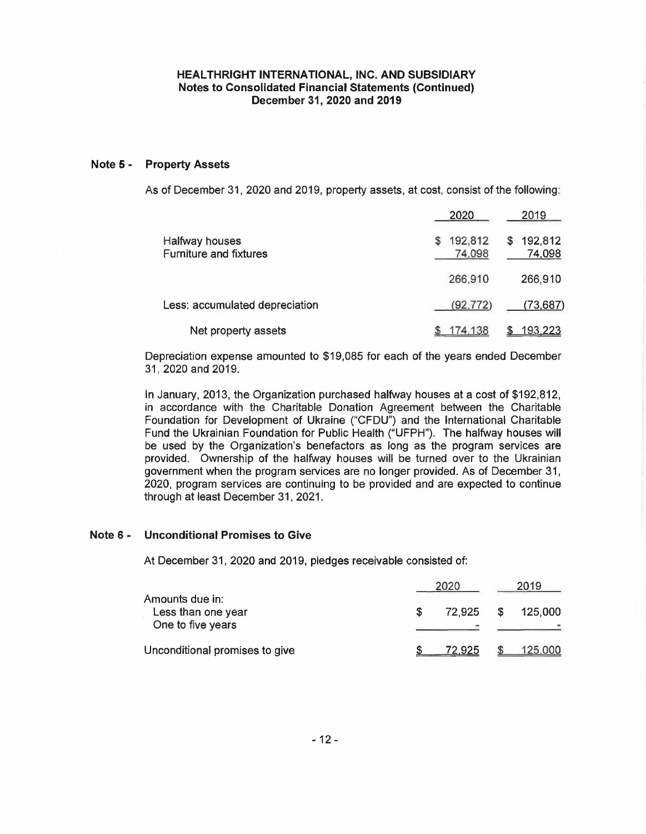#### **Note 5 - Property Assets**

As of December 31, 2020 and 2019, property assets, at cost, consist of the following:

|                                                 | 2020                   | 2019                   |
|-------------------------------------------------|------------------------|------------------------|
| Halfway houses<br><b>Furniture and fixtures</b> | 192,812<br>S<br>74,098 | 192,812<br>S<br>74,098 |
|                                                 | 266,910                | 266,910                |
| Less: accumulated depreciation                  | (92, 772)              | (73,687)               |
| Net property assets                             | <u>174,138</u>         | 193,223                |

Depreciation expense amounted to \$19,085 for each of the years ended December 31, 2020 and 2019.

In January, 2013, the Organization purchased halfway houses at <sup>a</sup> cost of \$192,812, in accordance with the Charitable Donation Agreement between the Charitable Foundation for Development of Ukraine ("CFDU") and the International Charitable Fund the Ukrainian Foundation for Public Health ("UFPH"). The halfway houses will be used by the Organization's benefactors as long as the program services are provided. Ownership of the halfway houses will be turned over to the Ukrainian government when the program services are no longer provided. As of December 31, 2020, program services are continuing to be provided and are expected to continue through at least December 31, 2021.

#### **Note 6- Unconditional Promises to Give**

At December 31, 2020 and 2019, pledges receivable consisted of:

|                                                            | 2020 |        |    | 2019    |  |
|------------------------------------------------------------|------|--------|----|---------|--|
| Amounts due in:<br>Less than one year<br>One to five years |      | 72.925 | -S | 125,000 |  |
| Unconditional promises to give                             |      | 72 925 |    | 125,000 |  |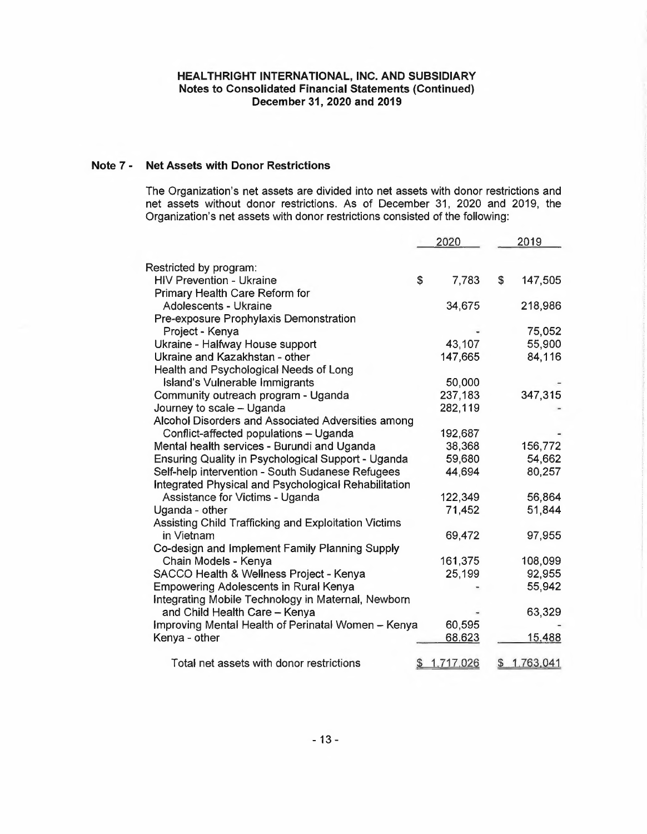# **Note 7 - Net Assets with Donor Restrictions**

The Organization's net assets are divided into net assets with donor restrictions and net assets without donor restrictions. As of December 31, 2020 and 2019, the Organization's net assets with donor restrictions consisted of the following:

|                                                      |    | 2020      | 2019            |
|------------------------------------------------------|----|-----------|-----------------|
| Restricted by program:                               |    |           |                 |
| <b>HIV Prevention - Ukraine</b>                      | \$ | 7,783     | \$<br>147,505   |
| Primary Health Care Reform for                       |    |           |                 |
| Adolescents - Ukraine                                |    | 34,675    | 218,986         |
| Pre-exposure Prophylaxis Demonstration               |    |           |                 |
| Project - Kenya                                      |    |           | 75,052          |
| Ukraine - Halfway House support                      |    | 43,107    | 55,900          |
| Ukraine and Kazakhstan - other                       |    | 147,665   | 84,116          |
| Health and Psychological Needs of Long               |    |           |                 |
| Island's Vulnerable Immigrants                       |    | 50,000    |                 |
| Community outreach program - Uganda                  |    | 237,183   | 347,315         |
| Journey to scale - Uganda                            |    | 282,119   |                 |
| Alcohol Disorders and Associated Adversities among   |    |           |                 |
| Conflict-affected populations - Uganda               |    | 192,687   |                 |
| Mental health services - Burundi and Uganda          |    | 38,368    | 156,772         |
| Ensuring Quality in Psychological Support - Uganda   |    | 59,680    | 54,662          |
| Self-help intervention - South Sudanese Refugees     |    | 44,694    | 80,257          |
| Integrated Physical and Psychological Rehabilitation |    |           |                 |
| Assistance for Victims - Uganda                      |    | 122,349   | 56,864          |
| Uganda - other                                       |    | 71,452    | 51,844          |
| Assisting Child Trafficking and Exploitation Victims |    |           |                 |
| in Vietnam                                           |    | 69,472    | 97,955          |
| Co-design and Implement Family Planning Supply       |    |           |                 |
| Chain Models - Kenya                                 |    | 161,375   | 108,099         |
| SACCO Health & Wellness Project - Kenya              |    | 25,199    | 92,955          |
| <b>Empowering Adolescents in Rural Kenya</b>         |    |           | 55,942          |
| Integrating Mobile Technology in Maternal, Newborn   |    |           |                 |
| and Child Health Care - Kenya                        |    |           | 63,329          |
| Improving Mental Health of Perinatal Women - Kenya   |    | 60,595    |                 |
| Kenya - other                                        |    | 68,623    | 15,488          |
| Total net assets with donor restrictions             | S  | 1,717.026 | \$<br>1.763,041 |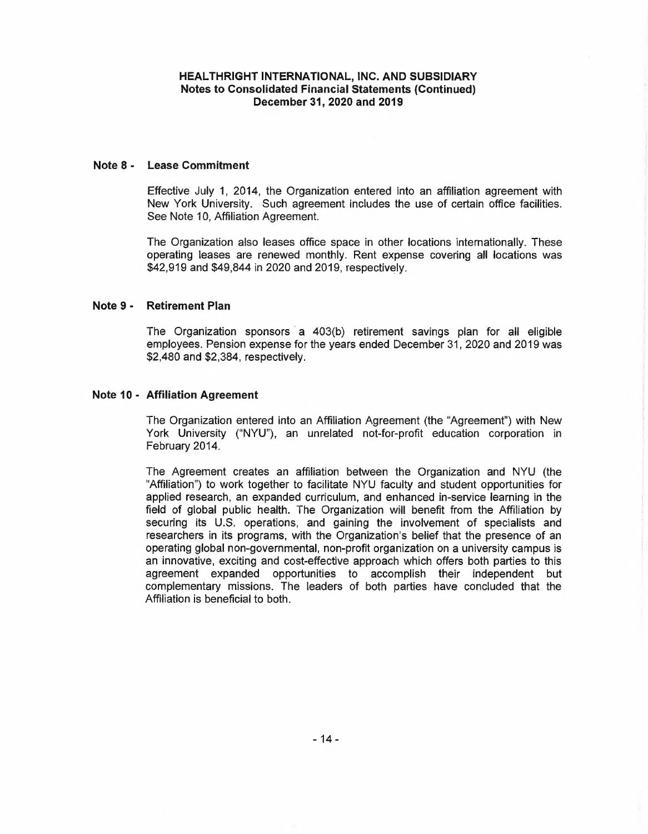## **Note 8 - Lease Commitment**

Effective July 1, 2014, the Organization entered into an affiliation agreement with New York University. Such agreement includes the use of certain office facilities. See Note 10, Affiliation Agreement.

The Organization also leases office space in other locations internationally. These operating leases are renewed monthly. Rent expense covering all locations was \$42,919 and \$49,844 in 2020 and 2019, respectively.

#### **Note 9 - Retirement Plan**

The Organization sponsors a 403(b) retirement savings plan for all eligible employees. Pension expense for the years ended December 31, 2020 and 2019 was \$2,480 and \$2,384, respectively.

#### **Note <sup>1</sup> <sup>O</sup> - Affiliation Agreement**

The Organization entered into an Affiliation Agreement (the "Agreement") with New York University ("NYU"), an unrelated not-for-profit education corporation in February 2014.

The Agreement creates an affiliation between the Organization and NYU (the "Affiliation") to work together to facilitate NYU faculty and student opportunities for applied research, an expanded curriculum, and enhanced in-service learning in the field of global public health. The Organization will benefit from the Affiliation by securing its U.S. operations, and gaining the involvement of specialists and researchers in its programs, with the Organization's belief that the presence of an operating global non-governmental, non-profit organization on <sup>a</sup> university campus is an innovative, exciting and cost-effective approach which offers both parties to this agreement expanded opportunities to accomplish their independent but complementary missions. The leaders of both parties have concluded that the Affiliation is beneficial to both.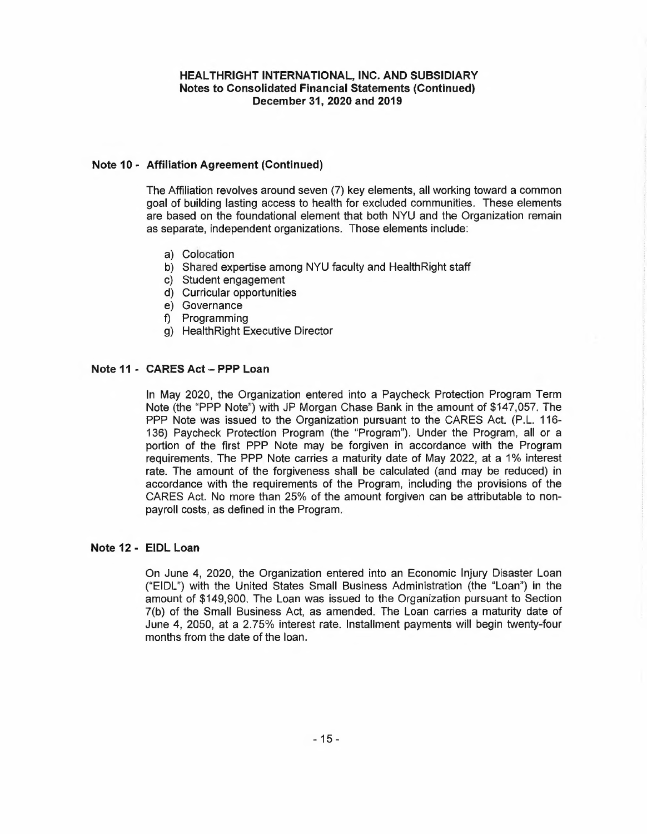# **Note 10- Affiliation Agreement (Continued)**

The Affiliation revolves around seven (7) key elements, all working toward <sup>a</sup> common goal of building lasting access to health for excluded communities. These elements are based on the foundational element that both NYU and the Organization remain as separate, independent organizations. Those elements include:

- a) Colocation
- b) Shared expertise among NYU faculty and HealthRight staff
- c) Student engagement
- d) Curricular opportunities
- e) Governance
- f) Programming
- g) HealthRight Executive Director

#### **Note 11- CARES Act - PPP Loan**

In May 2020, the Organization entered into a Paycheck Protection Program Term Note (the "PPP Note") with JP Morgan Chase Bank in the amount of \$147,057. The PPP Note was issued to the Organization pursuant to the CARES Act. (P.L. 116- 136) Paycheck Protection Program (the "Program"). Under the Program, all or a portion of the first PPP Note may be forgiven in accordance with the Program requirements. The PPP Note carries <sup>a</sup> maturity date of May 2022, at <sup>a</sup> 1% interest rate. The amount of the forgiveness shall be calculated (and may be reduced) in accordance with the requirements of the Program, including the provisions of the CARES Act. No more than 25% of the amount forgiven can be attributable to nonpayroll costs, as defined in the Program.

#### **Note 12- EIDL Loan**

On June 4, 2020, the Organization entered into an Economic Injury Disaster Loan ("EIDL") with the United States Small Business Administration (the "Loan") in the amount of \$149,900. The Loan was issued to the Organization pursuant to Section 7(b) of the Small Business Act, as amended. The Loan carries <sup>a</sup> maturity date of June 4, 2050, at a 2.75% interest rate. Installment payments will begin twenty-four months from the date of the loan.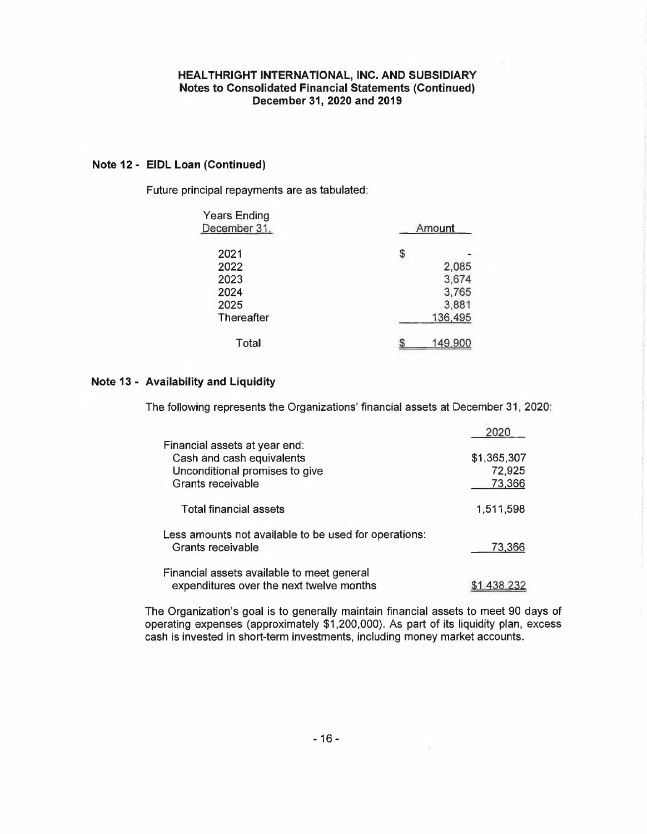# **Note 12 - EIDL Loan (Continued)**

Future principal repayments are as tabulated:

| <b>Years Ending</b><br>December 31, | Amount  |
|-------------------------------------|---------|
| 2021                                | \$      |
| 2022                                | 2,085   |
| 2023                                | 3,674   |
| 2024                                | 3,765   |
| 2025                                | 3,881   |
| <b>Thereafter</b>                   | 136,495 |
| Total                               | 149.9   |

#### **Note 13 - Availability and Liquidity**

The following represents the Organizations' financial assets at December 31, 2020:

|                                                                                                                   | วกวก                            |
|-------------------------------------------------------------------------------------------------------------------|---------------------------------|
| Financial assets at year end:<br>Cash and cash equivalents<br>Unconditional promises to give<br>Grants receivable | \$1,365,307<br>72,925<br>73,366 |
| Total financial assets                                                                                            | 1,511,598                       |
| Less amounts not available to be used for operations:<br>Grants receivable                                        | 73,366                          |
| Financial assets available to meet general<br>expenditures over the next twelve months                            | 1.438.2                         |

The Organization's goal is to generally maintain financial assets to meet 90 days of operating expenses (approximately \$1,200,000). As part of its liquidity plan, excess cash is invested in short-term investments, including money market accounts.